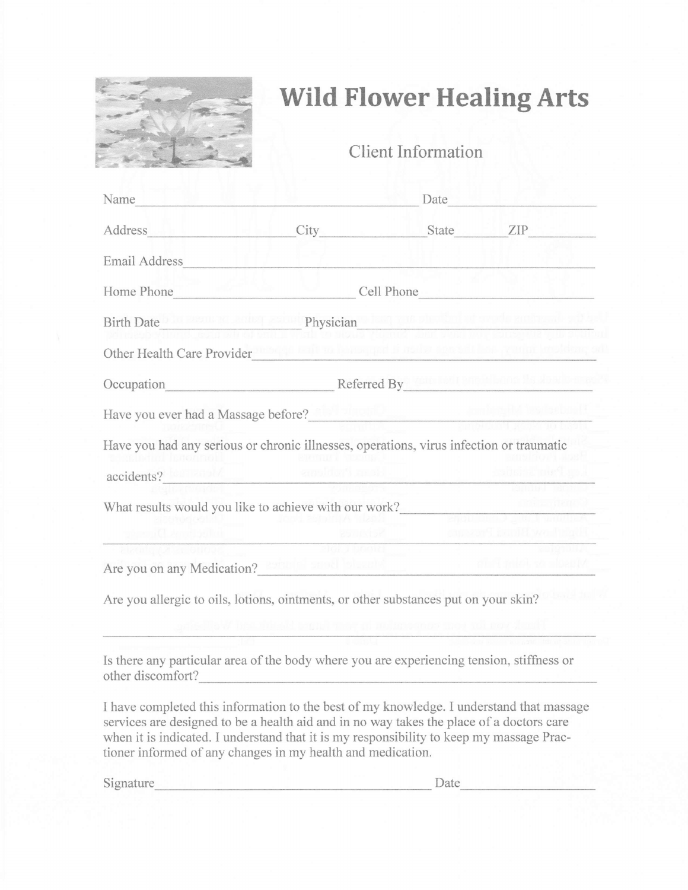

## Wild Flower Healing Arts

Client Information

| Name                                                                                                                                                                                                                                                                                                                                            |                                                                                                                                                                                                                                |                                                      | Date and the state of the state of the state of the state of the state of the state of the state of the state of the state of the state of the state of the state of the state of the state of the state of the state of the s |
|-------------------------------------------------------------------------------------------------------------------------------------------------------------------------------------------------------------------------------------------------------------------------------------------------------------------------------------------------|--------------------------------------------------------------------------------------------------------------------------------------------------------------------------------------------------------------------------------|------------------------------------------------------|--------------------------------------------------------------------------------------------------------------------------------------------------------------------------------------------------------------------------------|
| Address and the contract of the contract of the contract of the contract of the contract of the contract of the contract of the contract of the contract of the contract of the contract of the contract of the contract of th                                                                                                                  |                                                                                                                                                                                                                                | City State ZIP                                       |                                                                                                                                                                                                                                |
| Email Address Management and The Communications                                                                                                                                                                                                                                                                                                 |                                                                                                                                                                                                                                |                                                      |                                                                                                                                                                                                                                |
|                                                                                                                                                                                                                                                                                                                                                 | Home Phone Cell Phone Cell Phone                                                                                                                                                                                               |                                                      |                                                                                                                                                                                                                                |
| Birth Date <sup>1</sup> to seem to some probably Physician and the shedie that or each such safe and                                                                                                                                                                                                                                            |                                                                                                                                                                                                                                |                                                      |                                                                                                                                                                                                                                |
| Other Health Care Provider                                                                                                                                                                                                                                                                                                                      |                                                                                                                                                                                                                                |                                                      |                                                                                                                                                                                                                                |
| Occupation                                                                                                                                                                                                                                                                                                                                      | Referred By The Constitution in the Constitution of the Constitution of the Constitution of the Constitution of the Constitution of the Constitution of the Constitution of the Constitution of the Constitution of the Consti |                                                      |                                                                                                                                                                                                                                |
| Have you ever had a Massage before?<br><u>Lateral and a Massage before?</u>                                                                                                                                                                                                                                                                     |                                                                                                                                                                                                                                |                                                      |                                                                                                                                                                                                                                |
| Have you had any serious or chronic illnesses, operations, virus infection or traumatic                                                                                                                                                                                                                                                         |                                                                                                                                                                                                                                |                                                      |                                                                                                                                                                                                                                |
| accidents? <b>Convention</b> and another times.                                                                                                                                                                                                                                                                                                 |                                                                                                                                                                                                                                |                                                      |                                                                                                                                                                                                                                |
| What results would you like to achieve with our work?                                                                                                                                                                                                                                                                                           |                                                                                                                                                                                                                                |                                                      |                                                                                                                                                                                                                                |
| and a clipped and a series of the                                                                                                                                                                                                                                                                                                               |                                                                                                                                                                                                                                |                                                      |                                                                                                                                                                                                                                |
| Are you on any Medication? <b>Exhaust Street Street Are you on any Medication?</b>                                                                                                                                                                                                                                                              |                                                                                                                                                                                                                                |                                                      |                                                                                                                                                                                                                                |
| Are you allergic to oils, lotions, ointments, or other substances put on your skin?                                                                                                                                                                                                                                                             |                                                                                                                                                                                                                                |                                                      |                                                                                                                                                                                                                                |
|                                                                                                                                                                                                                                                                                                                                                 |                                                                                                                                                                                                                                | <b>UTCALL THEFT OIL FOLDS IS THEFT LATER TOLERER</b> |                                                                                                                                                                                                                                |
| Is there any particular area of the body where you are experiencing tension, stiffness or<br>other discomfort?                                                                                                                                                                                                                                  |                                                                                                                                                                                                                                |                                                      |                                                                                                                                                                                                                                |
| I have completed this information to the best of my knowledge. I understand that massage<br>services are designed to be a health aid and in no way takes the place of a doctors care<br>when it is indicated. I understand that it is my responsibility to keep my massage Prac-<br>tioner informed of any changes in my health and medication. |                                                                                                                                                                                                                                |                                                      |                                                                                                                                                                                                                                |

Signature Date